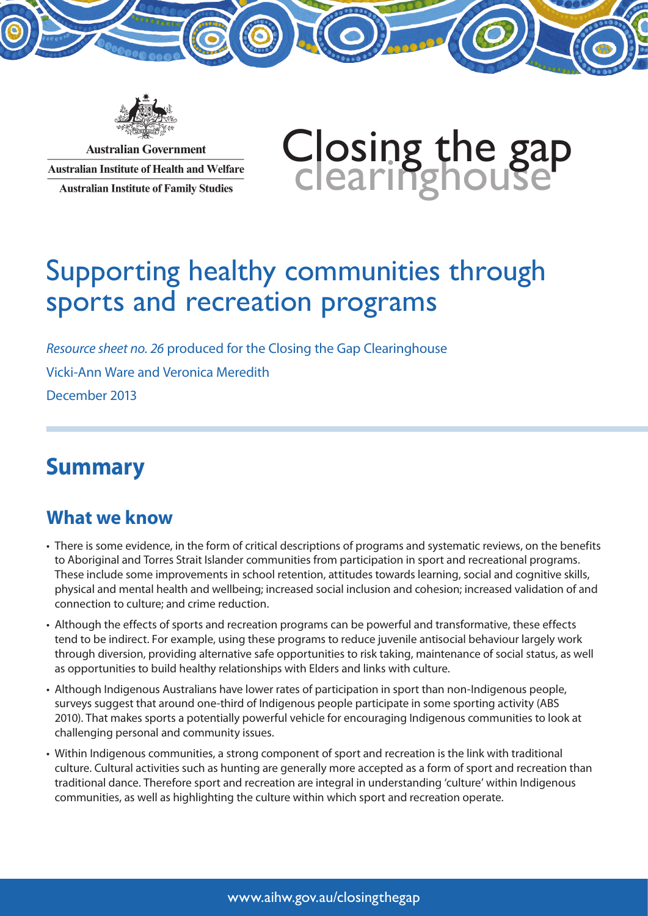

**Australian Government Australian Institute of Health and Welfare Australian Institute of Family Studies** 



# Supporting healthy communities through sports and recreation programs

*Resource sheet no. 26* produced for the Closing the Gap Clearinghouse Vicki-Ann Ware and Veronica Meredith December 2013

# **Summary**

## **What we know**

- There is some evidence, in the form of critical descriptions of programs and systematic reviews, on the benefits to Aboriginal and Torres Strait Islander communities from participation in sport and recreational programs. These include some improvements in school retention, attitudes towards learning, social and cognitive skills, physical and mental health and wellbeing; increased social inclusion and cohesion; increased validation of and connection to culture; and crime reduction.
- Although the effects of sports and recreation programs can be powerful and transformative, these effects tend to be indirect. For example, using these programs to reduce juvenile antisocial behaviour largely work through diversion, providing alternative safe opportunities to risk taking, maintenance of social status, as well as opportunities to build healthy relationships with Elders and links with culture.
- Although Indigenous Australians have lower rates of participation in sport than non-Indigenous people, surveys suggest that around one-third of Indigenous people participate in some sporting activity (ABS 2010). That makes sports a potentially powerful vehicle for encouraging Indigenous communities to look at challenging personal and community issues.
- Within Indigenous communities, a strong component of sport and recreation is the link with traditional culture. Cultural activities such as hunting are generally more accepted as a form of sport and recreation than traditional dance. Therefore sport and recreation are integral in understanding 'culture' within Indigenous communities, as well as highlighting the culture within which sport and recreation operate.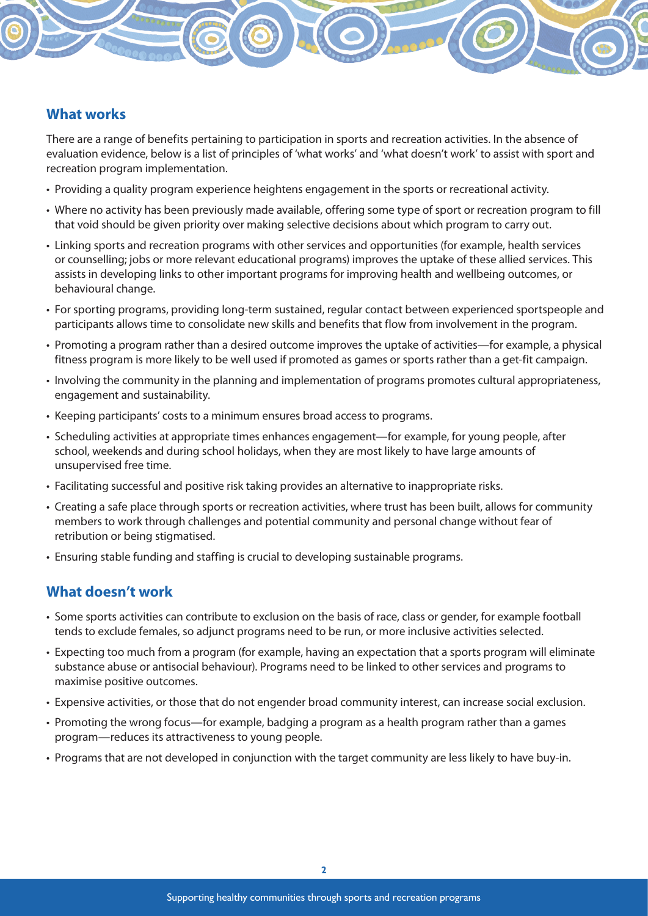### **What works**

There are a range of benefits pertaining to participation in sports and recreation activities. In the absence of evaluation evidence, below is a list of principles of 'what works' and 'what doesn't work' to assist with sport and recreation program implementation.

- Providing a quality program experience heightens engagement in the sports or recreational activity.
- Where no activity has been previously made available, offering some type of sport or recreation program to fill that void should be given priority over making selective decisions about which program to carry out.
- Linking sports and recreation programs with other services and opportunities (for example, health services or counselling; jobs or more relevant educational programs) improves the uptake of these allied services. This assists in developing links to other important programs for improving health and wellbeing outcomes, or behavioural change.
- For sporting programs, providing long-term sustained, regular contact between experienced sportspeople and participants allows time to consolidate new skills and benefits that flow from involvement in the program.
- Promoting a program rather than a desired outcome improves the uptake of activities—for example, a physical fitness program is more likely to be well used if promoted as games or sports rather than a get-fit campaign.
- Involving the community in the planning and implementation of programs promotes cultural appropriateness, engagement and sustainability.
- Keeping participants' costs to a minimum ensures broad access to programs.
- Scheduling activities at appropriate times enhances engagement—for example, for young people, after school, weekends and during school holidays, when they are most likely to have large amounts of unsupervised free time.
- Facilitating successful and positive risk taking provides an alternative to inappropriate risks.
- Creating a safe place through sports or recreation activities, where trust has been built, allows for community members to work through challenges and potential community and personal change without fear of retribution or being stigmatised.
- Ensuring stable funding and staffing is crucial to developing sustainable programs.

#### **What doesn't work**

- Some sports activities can contribute to exclusion on the basis of race, class or gender, for example football tends to exclude females, so adjunct programs need to be run, or more inclusive activities selected.
- Expecting too much from a program (for example, having an expectation that a sports program will eliminate substance abuse or antisocial behaviour). Programs need to be linked to other services and programs to maximise positive outcomes.
- Expensive activities, or those that do not engender broad community interest, can increase social exclusion.
- Promoting the wrong focus—for example, badging a program as a health program rather than a games program—reduces its attractiveness to young people.
- Programs that are not developed in conjunction with the target community are less likely to have buy-in.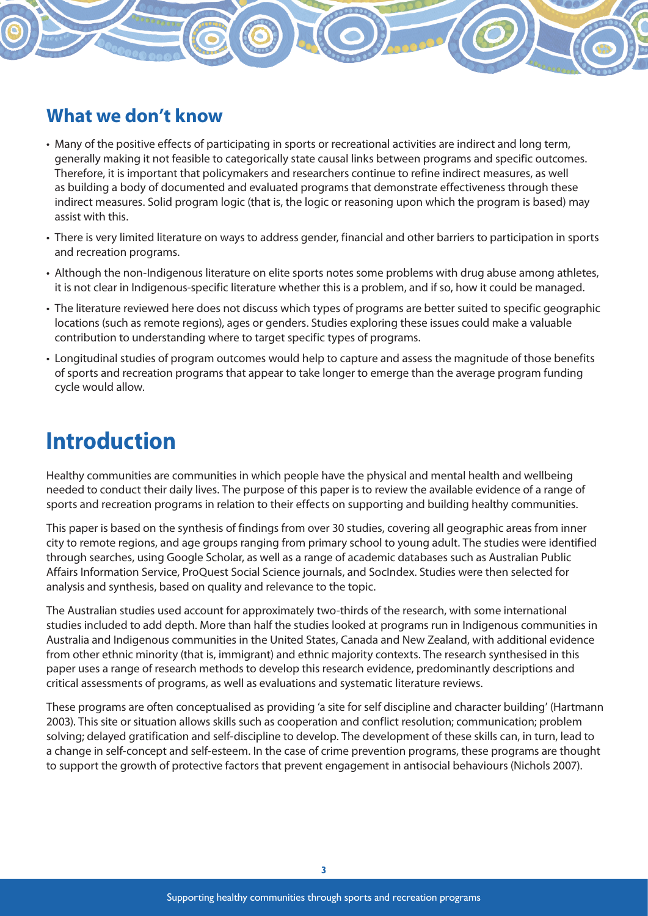## **What we don't know**

- Many of the positive effects of participating in sports or recreational activities are indirect and long term, generally making it not feasible to categorically state causal links between programs and specific outcomes. Therefore, it is important that policymakers and researchers continue to refine indirect measures, as well as building a body of documented and evaluated programs that demonstrate effectiveness through these indirect measures. Solid program logic (that is, the logic or reasoning upon which the program is based) may assist with this.
- There is very limited literature on ways to address gender, financial and other barriers to participation in sports and recreation programs.
- Although the non-Indigenous literature on elite sports notes some problems with drug abuse among athletes, it is not clear in Indigenous-specific literature whether this is a problem, and if so, how it could be managed.
- The literature reviewed here does not discuss which types of programs are better suited to specific geographic locations (such as remote regions), ages or genders. Studies exploring these issues could make a valuable contribution to understanding where to target specific types of programs.
- Longitudinal studies of program outcomes would help to capture and assess the magnitude of those benefits of sports and recreation programs that appear to take longer to emerge than the average program funding cycle would allow.

# **Introduction**

Healthy communities are communities in which people have the physical and mental health and wellbeing needed to conduct their daily lives. The purpose of this paper is to review the available evidence of a range of sports and recreation programs in relation to their effects on supporting and building healthy communities.

This paper is based on the synthesis of findings from over 30 studies, covering all geographic areas from inner city to remote regions, and age groups ranging from primary school to young adult. The studies were identified through searches, using Google Scholar, as well as a range of academic databases such as Australian Public Affairs Information Service, ProQuest Social Science journals, and SocIndex. Studies were then selected for analysis and synthesis, based on quality and relevance to the topic.

The Australian studies used account for approximately two-thirds of the research, with some international studies included to add depth. More than half the studies looked at programs run in Indigenous communities in Australia and Indigenous communities in the United States, Canada and New Zealand, with additional evidence from other ethnic minority (that is, immigrant) and ethnic majority contexts. The research synthesised in this paper uses a range of research methods to develop this research evidence, predominantly descriptions and critical assessments of programs, as well as evaluations and systematic literature reviews.

These programs are often conceptualised as providing 'a site for self discipline and character building' (Hartmann 2003). This site or situation allows skills such as cooperation and conflict resolution; communication; problem solving; delayed gratification and self-discipline to develop. The development of these skills can, in turn, lead to a change in self-concept and self-esteem. In the case of crime prevention programs, these programs are thought to support the growth of protective factors that prevent engagement in antisocial behaviours (Nichols 2007).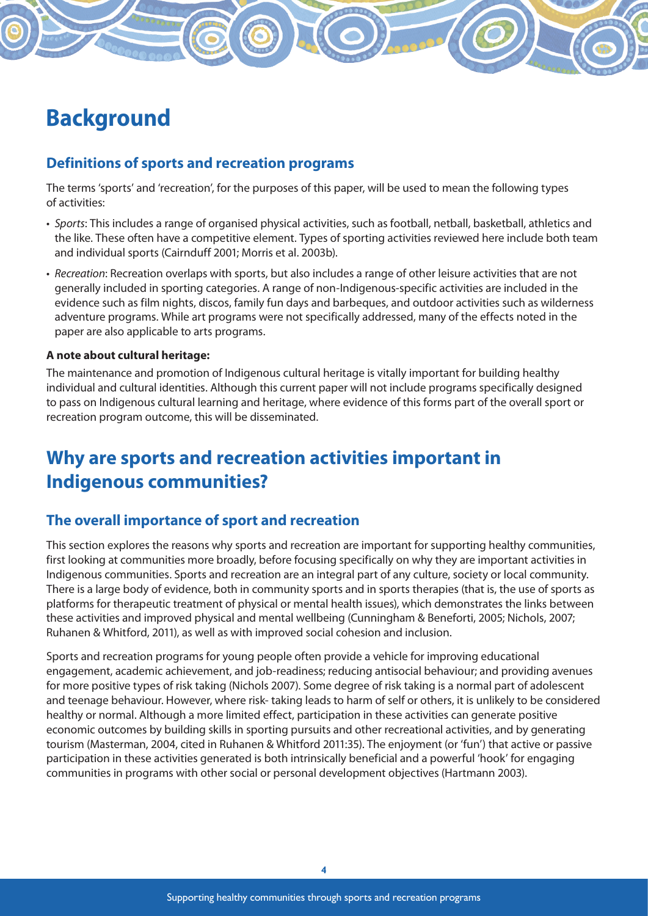# **Background**

### **Definitions of sports and recreation programs**

The terms 'sports' and 'recreation', for the purposes of this paper, will be used to mean the following types of activities:

- *Sports*: This includes a range of organised physical activities, such as football, netball, basketball, athletics and the like. These often have a competitive element. Types of sporting activities reviewed here include both team and individual sports (Cairnduff 2001; Morris et al. 2003b).
- *Recreation*: Recreation overlaps with sports, but also includes a range of other leisure activities that are not generally included in sporting categories. A range of non-Indigenous-specific activities are included in the evidence such as film nights, discos, family fun days and barbeques, and outdoor activities such as wilderness adventure programs. While art programs were not specifically addressed, many of the effects noted in the paper are also applicable to arts programs.

#### **A note about cultural heritage:**

The maintenance and promotion of Indigenous cultural heritage is vitally important for building healthy individual and cultural identities. Although this current paper will not include programs specifically designed to pass on Indigenous cultural learning and heritage, where evidence of this forms part of the overall sport or recreation program outcome, this will be disseminated.

## **Why are sports and recreation activities important in Indigenous communities?**

#### **The overall importance of sport and recreation**

This section explores the reasons why sports and recreation are important for supporting healthy communities, first looking at communities more broadly, before focusing specifically on why they are important activities in Indigenous communities. Sports and recreation are an integral part of any culture, society or local community. There is a large body of evidence, both in community sports and in sports therapies (that is, the use of sports as platforms for therapeutic treatment of physical or mental health issues), which demonstrates the links between these activities and improved physical and mental wellbeing (Cunningham & Beneforti, 2005; Nichols, 2007; Ruhanen & Whitford, 2011), as well as with improved social cohesion and inclusion.

Sports and recreation programs for young people often provide a vehicle for improving educational engagement, academic achievement, and job-readiness; reducing antisocial behaviour; and providing avenues for more positive types of risk taking (Nichols 2007). Some degree of risk taking is a normal part of adolescent and teenage behaviour. However, where risk- taking leads to harm of self or others, it is unlikely to be considered healthy or normal. Although a more limited effect, participation in these activities can generate positive economic outcomes by building skills in sporting pursuits and other recreational activities, and by generating tourism (Masterman, 2004, cited in Ruhanen & Whitford 2011:35). The enjoyment (or 'fun') that active or passive participation in these activities generated is both intrinsically beneficial and a powerful 'hook' for engaging communities in programs with other social or personal development objectives (Hartmann 2003).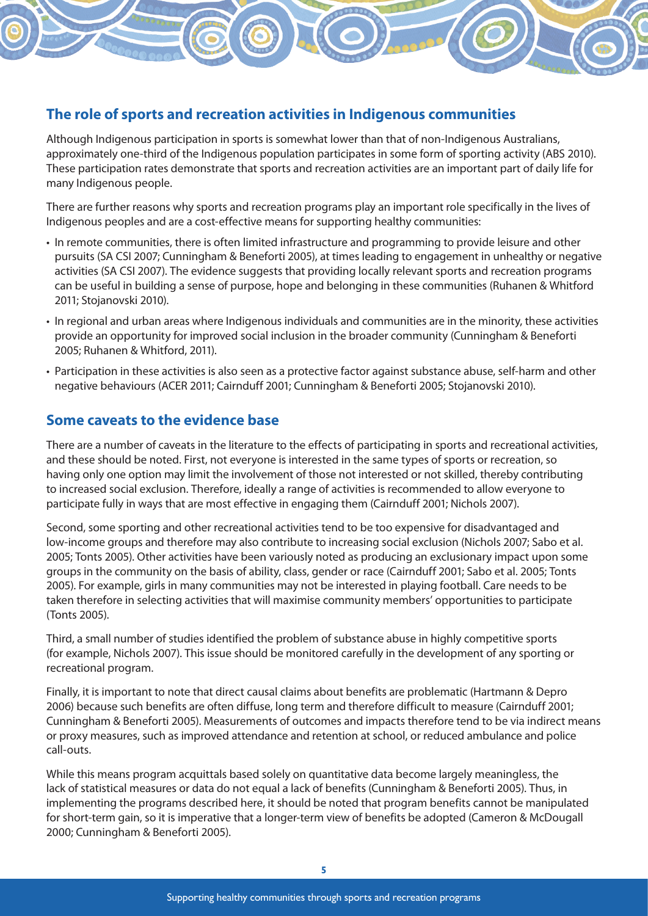## **The role of sports and recreation activities in Indigenous communities**

Although Indigenous participation in sports is somewhat lower than that of non-Indigenous Australians, approximately one-third of the Indigenous population participates in some form of sporting activity (ABS 2010). These participation rates demonstrate that sports and recreation activities are an important part of daily life for many Indigenous people.

There are further reasons why sports and recreation programs play an important role specifically in the lives of Indigenous peoples and are a cost-effective means for supporting healthy communities:

- In remote communities, there is often limited infrastructure and programming to provide leisure and other pursuits (SA CSI 2007; Cunningham & Beneforti 2005), at times leading to engagement in unhealthy or negative activities (SA CSI 2007). The evidence suggests that providing locally relevant sports and recreation programs can be useful in building a sense of purpose, hope and belonging in these communities (Ruhanen & Whitford 2011; Stojanovski 2010).
- In regional and urban areas where Indigenous individuals and communities are in the minority, these activities provide an opportunity for improved social inclusion in the broader community (Cunningham & Beneforti 2005; Ruhanen & Whitford, 2011).
- Participation in these activities is also seen as a protective factor against substance abuse, self-harm and other negative behaviours (ACER 2011; Cairnduff 2001; Cunningham & Beneforti 2005; Stojanovski 2010).

#### **Some caveats to the evidence base**

There are a number of caveats in the literature to the effects of participating in sports and recreational activities, and these should be noted. First, not everyone is interested in the same types of sports or recreation, so having only one option may limit the involvement of those not interested or not skilled, thereby contributing to increased social exclusion. Therefore, ideally a range of activities is recommended to allow everyone to participate fully in ways that are most effective in engaging them (Cairnduff 2001; Nichols 2007).

Second, some sporting and other recreational activities tend to be too expensive for disadvantaged and low-income groups and therefore may also contribute to increasing social exclusion (Nichols 2007; Sabo et al. 2005; Tonts 2005). Other activities have been variously noted as producing an exclusionary impact upon some groups in the community on the basis of ability, class, gender or race (Cairnduff 2001; Sabo et al. 2005; Tonts 2005). For example, girls in many communities may not be interested in playing football. Care needs to be taken therefore in selecting activities that will maximise community members' opportunities to participate (Tonts 2005).

Third, a small number of studies identified the problem of substance abuse in highly competitive sports (for example, Nichols 2007). This issue should be monitored carefully in the development of any sporting or recreational program.

Finally, it is important to note that direct causal claims about benefits are problematic (Hartmann & Depro 2006) because such benefits are often diffuse, long term and therefore difficult to measure (Cairnduff 2001; Cunningham & Beneforti 2005). Measurements of outcomes and impacts therefore tend to be via indirect means or proxy measures, such as improved attendance and retention at school, or reduced ambulance and police call-outs.

While this means program acquittals based solely on quantitative data become largely meaningless, the lack of statistical measures or data do not equal a lack of benefits (Cunningham & Beneforti 2005). Thus, in implementing the programs described here, it should be noted that program benefits cannot be manipulated for short-term gain, so it is imperative that a longer-term view of benefits be adopted (Cameron & McDougall 2000; Cunningham & Beneforti 2005).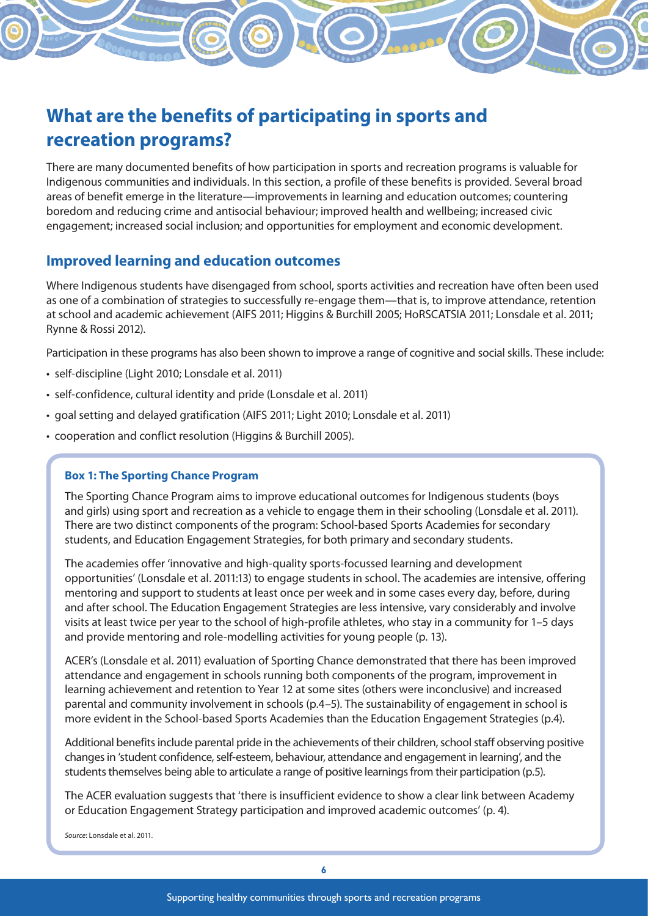## **What are the benefits of participating in sports and recreation programs?**

There are many documented benefits of how participation in sports and recreation programs is valuable for Indigenous communities and individuals. In this section, a profile of these benefits is provided. Several broad areas of benefit emerge in the literature—improvements in learning and education outcomes; countering boredom and reducing crime and antisocial behaviour; improved health and wellbeing; increased civic engagement; increased social inclusion; and opportunities for employment and economic development.

### **Improved learning and education outcomes**

Where Indigenous students have disengaged from school, sports activities and recreation have often been used as one of a combination of strategies to successfully re-engage them—that is, to improve attendance, retention at school and academic achievement (AIFS 2011; Higgins & Burchill 2005; HoRSCATSIA 2011; Lonsdale et al. 2011; Rynne & Rossi 2012).

Participation in these programs has also been shown to improve a range of cognitive and social skills. These include:

- self-discipline (Light 2010; Lonsdale et al. 2011)
- self-confidence, cultural identity and pride (Lonsdale et al. 2011)
- goal setting and delayed gratification (AIFS 2011; Light 2010; Lonsdale et al. 2011)
- cooperation and conflict resolution (Higgins & Burchill 2005).

#### **Box 1: The Sporting Chance Program**

The Sporting Chance Program aims to improve educational outcomes for Indigenous students (boys and girls) using sport and recreation as a vehicle to engage them in their schooling (Lonsdale et al. 2011). There are two distinct components of the program: School-based Sports Academies for secondary students, and Education Engagement Strategies, for both primary and secondary students.

The academies offer 'innovative and high-quality sports-focussed learning and development opportunities' (Lonsdale et al. 2011:13) to engage students in school. The academies are intensive, offering mentoring and support to students at least once per week and in some cases every day, before, during and after school. The Education Engagement Strategies are less intensive, vary considerably and involve visits at least twice per year to the school of high-profile athletes, who stay in a community for 1–5 days and provide mentoring and role-modelling activities for young people (p. 13).

ACER's (Lonsdale et al. 2011) evaluation of Sporting Chance demonstrated that there has been improved attendance and engagement in schools running both components of the program, improvement in learning achievement and retention to Year 12 at some sites (others were inconclusive) and increased parental and community involvement in schools (p.4–5). The sustainability of engagement in school is more evident in the School-based Sports Academies than the Education Engagement Strategies (p.4).

Additional benefits include parental pride in the achievements of their children, school staff observing positive changes in 'student confidence, self-esteem, behaviour, attendance and engagement in learning', and the students themselves being able to articulate a range of positive learnings from their participation (p.5).

The ACER evaluation suggests that 'there is insufficient evidence to show a clear link between Academy or Education Engagement Strategy participation and improved academic outcomes' (p. 4).

*Source*: Lonsdale et al. 2011.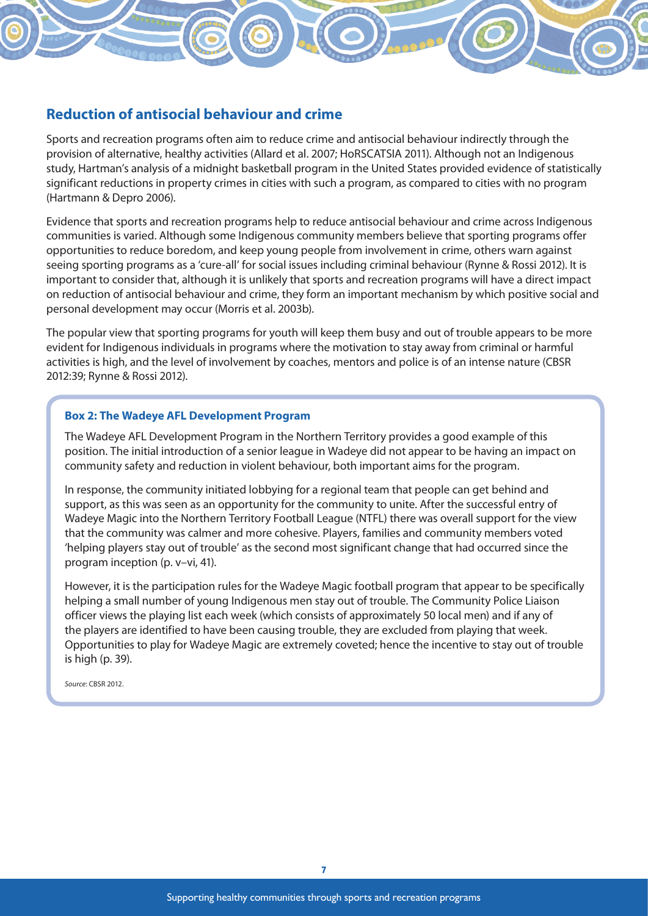### **Reduction of antisocial behaviour and crime**

Sports and recreation programs often aim to reduce crime and antisocial behaviour indirectly through the provision of alternative, healthy activities (Allard et al. 2007; HoRSCATSIA 2011). Although not an Indigenous study, Hartman's analysis of a midnight basketball program in the United States provided evidence of statistically significant reductions in property crimes in cities with such a program, as compared to cities with no program (Hartmann & Depro 2006).

Evidence that sports and recreation programs help to reduce antisocial behaviour and crime across Indigenous communities is varied. Although some Indigenous community members believe that sporting programs offer opportunities to reduce boredom, and keep young people from involvement in crime, others warn against seeing sporting programs as a 'cure-all' for social issues including criminal behaviour (Rynne & Rossi 2012). It is important to consider that, although it is unlikely that sports and recreation programs will have a direct impact on reduction of antisocial behaviour and crime, they form an important mechanism by which positive social and personal development may occur (Morris et al. 2003b).

The popular view that sporting programs for youth will keep them busy and out of trouble appears to be more evident for Indigenous individuals in programs where the motivation to stay away from criminal or harmful activities is high, and the level of involvement by coaches, mentors and police is of an intense nature (CBSR 2012:39; Rynne & Rossi 2012).

#### **Box 2: The Wadeye AFL Development Program**

The Wadeye AFL Development Program in the Northern Territory provides a good example of this position. The initial introduction of a senior league in Wadeye did not appear to be having an impact on community safety and reduction in violent behaviour, both important aims for the program.

In response, the community initiated lobbying for a regional team that people can get behind and support, as this was seen as an opportunity for the community to unite. After the successful entry of Wadeye Magic into the Northern Territory Football League (NTFL) there was overall support for the view that the community was calmer and more cohesive. Players, families and community members voted 'helping players stay out of trouble' as the second most significant change that had occurred since the program inception (p. v–vi, 41).

However, it is the participation rules for the Wadeye Magic football program that appear to be specifically helping a small number of young Indigenous men stay out of trouble. The Community Police Liaison officer views the playing list each week (which consists of approximately 50 local men) and if any of the players are identified to have been causing trouble, they are excluded from playing that week. Opportunities to play for Wadeye Magic are extremely coveted; hence the incentive to stay out of trouble is high (p. 39).

*Source*: CBSR 2012.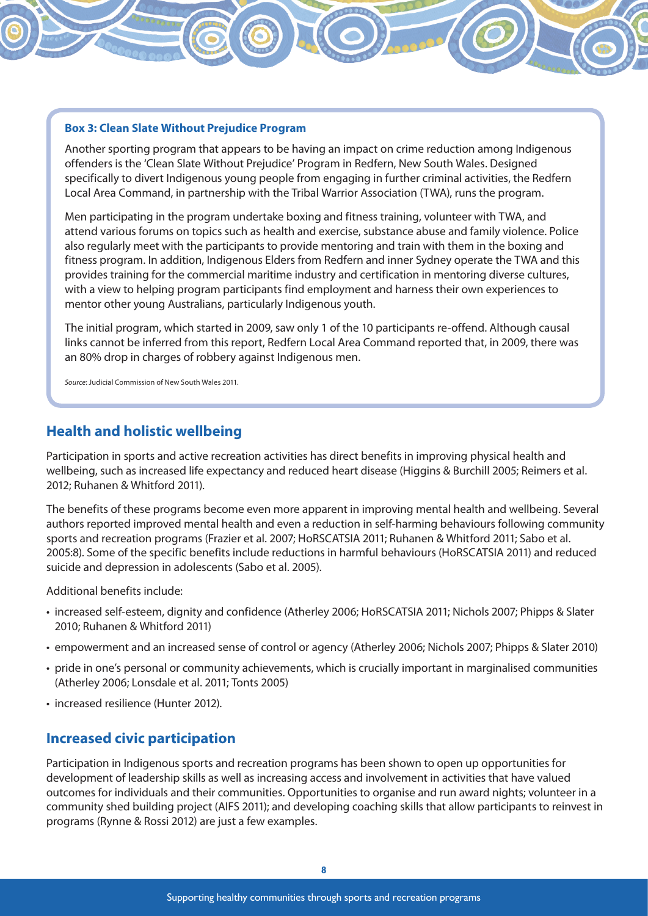#### **Box 3: Clean Slate Without Prejudice Program**

Another sporting program that appears to be having an impact on crime reduction among Indigenous offenders is the 'Clean Slate Without Prejudice' Program in Redfern, New South Wales. Designed specifically to divert Indigenous young people from engaging in further criminal activities, the Redfern Local Area Command, in partnership with the Tribal Warrior Association (TWA), runs the program.

Men participating in the program undertake boxing and fitness training, volunteer with TWA, and attend various forums on topics such as health and exercise, substance abuse and family violence. Police also regularly meet with the participants to provide mentoring and train with them in the boxing and fitness program. In addition, Indigenous Elders from Redfern and inner Sydney operate the TWA and this provides training for the commercial maritime industry and certification in mentoring diverse cultures, with a view to helping program participants find employment and harness their own experiences to mentor other young Australians, particularly Indigenous youth.

The initial program, which started in 2009, saw only 1 of the 10 participants re-offend. Although causal links cannot be inferred from this report, Redfern Local Area Command reported that, in 2009, there was an 80% drop in charges of robbery against Indigenous men.

*Source*: Judicial Commission of New South Wales 2011.

#### **Health and holistic wellbeing**

Participation in sports and active recreation activities has direct benefits in improving physical health and wellbeing, such as increased life expectancy and reduced heart disease (Higgins & Burchill 2005; Reimers et al. 2012; Ruhanen & Whitford 2011).

The benefits of these programs become even more apparent in improving mental health and wellbeing. Several authors reported improved mental health and even a reduction in self-harming behaviours following community sports and recreation programs (Frazier et al. 2007; HoRSCATSIA 2011; Ruhanen & Whitford 2011; Sabo et al. 2005:8). Some of the specific benefits include reductions in harmful behaviours (HoRSCATSIA 2011) and reduced suicide and depression in adolescents (Sabo et al. 2005).

Additional benefits include:

- increased self-esteem, dignity and confidence (Atherley 2006; HoRSCATSIA 2011; Nichols 2007; Phipps & Slater 2010; Ruhanen & Whitford 2011)
- empowerment and an increased sense of control or agency (Atherley 2006; Nichols 2007; Phipps & Slater 2010)
- pride in one's personal or community achievements, which is crucially important in marginalised communities (Atherley 2006; Lonsdale et al. 2011; Tonts 2005)
- increased resilience (Hunter 2012).

#### **Increased civic participation**

Participation in Indigenous sports and recreation programs has been shown to open up opportunities for development of leadership skills as well as increasing access and involvement in activities that have valued outcomes for individuals and their communities. Opportunities to organise and run award nights; volunteer in a community shed building project (AIFS 2011); and developing coaching skills that allow participants to reinvest in programs (Rynne & Rossi 2012) are just a few examples.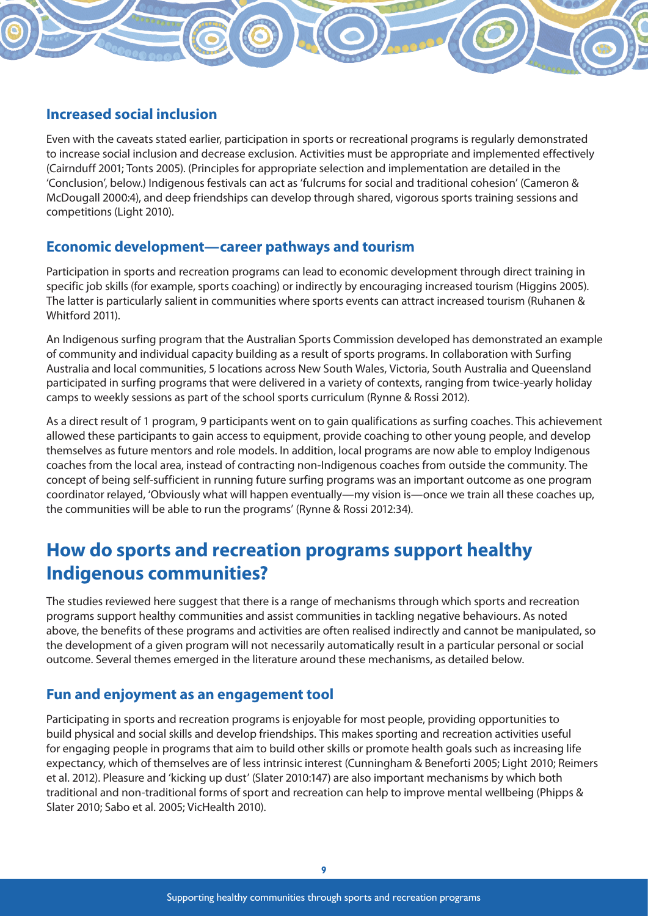## **Increased social inclusion**

Even with the caveats stated earlier, participation in sports or recreational programs is regularly demonstrated to increase social inclusion and decrease exclusion. Activities must be appropriate and implemented effectively (Cairnduff 2001; Tonts 2005). (Principles for appropriate selection and implementation are detailed in the 'Conclusion', below.) Indigenous festivals can act as 'fulcrums for social and traditional cohesion' (Cameron & McDougall 2000:4), and deep friendships can develop through shared, vigorous sports training sessions and competitions (Light 2010).

### **Economic development—career pathways and tourism**

Participation in sports and recreation programs can lead to economic development through direct training in specific job skills (for example, sports coaching) or indirectly by encouraging increased tourism (Higgins 2005). The latter is particularly salient in communities where sports events can attract increased tourism (Ruhanen & Whitford 2011).

An Indigenous surfing program that the Australian Sports Commission developed has demonstrated an example of community and individual capacity building as a result of sports programs. In collaboration with Surfing Australia and local communities, 5 locations across New South Wales, Victoria, South Australia and Queensland participated in surfing programs that were delivered in a variety of contexts, ranging from twice-yearly holiday camps to weekly sessions as part of the school sports curriculum (Rynne & Rossi 2012).

As a direct result of 1 program, 9 participants went on to gain qualifications as surfing coaches. This achievement allowed these participants to gain access to equipment, provide coaching to other young people, and develop themselves as future mentors and role models. In addition, local programs are now able to employ Indigenous coaches from the local area, instead of contracting non-Indigenous coaches from outside the community. The concept of being self-sufficient in running future surfing programs was an important outcome as one program coordinator relayed, 'Obviously what will happen eventually—my vision is—once we train all these coaches up, the communities will be able to run the programs' (Rynne & Rossi 2012:34).

## **How do sports and recreation programs support healthy Indigenous communities?**

The studies reviewed here suggest that there is a range of mechanisms through which sports and recreation programs support healthy communities and assist communities in tackling negative behaviours. As noted above, the benefits of these programs and activities are often realised indirectly and cannot be manipulated, so the development of a given program will not necessarily automatically result in a particular personal or social outcome. Several themes emerged in the literature around these mechanisms, as detailed below.

#### **Fun and enjoyment as an engagement tool**

Participating in sports and recreation programs is enjoyable for most people, providing opportunities to build physical and social skills and develop friendships. This makes sporting and recreation activities useful for engaging people in programs that aim to build other skills or promote health goals such as increasing life expectancy, which of themselves are of less intrinsic interest (Cunningham & Beneforti 2005; Light 2010; Reimers et al. 2012). Pleasure and 'kicking up dust' (Slater 2010:147) are also important mechanisms by which both traditional and non-traditional forms of sport and recreation can help to improve mental wellbeing (Phipps & Slater 2010; Sabo et al. 2005; VicHealth 2010).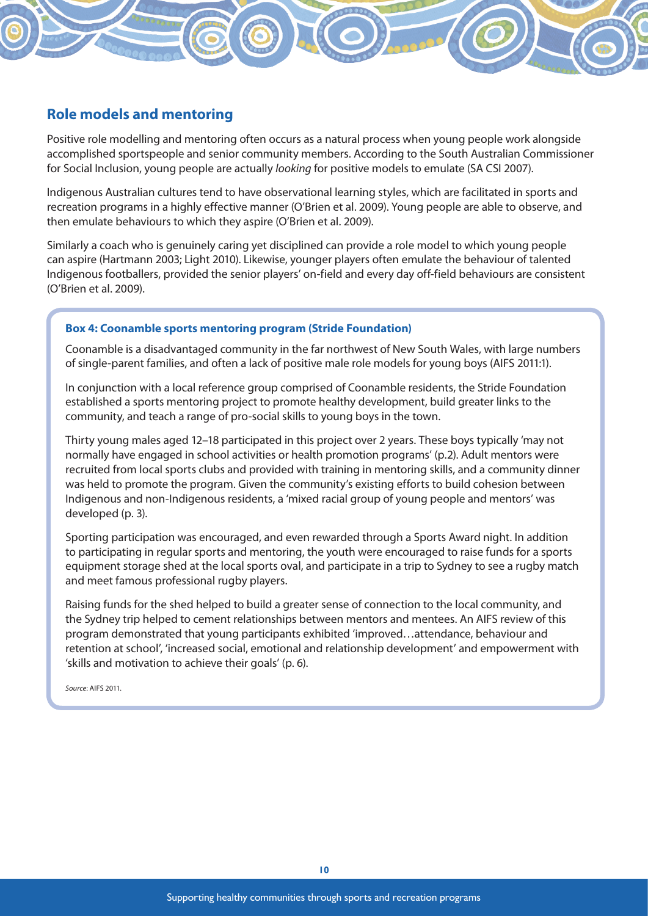### **Role models and mentoring**

Positive role modelling and mentoring often occurs as a natural process when young people work alongside accomplished sportspeople and senior community members. According to the South Australian Commissioner for Social Inclusion, young people are actually *looking* for positive models to emulate (SA CSI 2007).

Indigenous Australian cultures tend to have observational learning styles, which are facilitated in sports and recreation programs in a highly effective manner (O'Brien et al. 2009). Young people are able to observe, and then emulate behaviours to which they aspire (O'Brien et al. 2009).

Similarly a coach who is genuinely caring yet disciplined can provide a role model to which young people can aspire (Hartmann 2003; Light 2010). Likewise, younger players often emulate the behaviour of talented Indigenous footballers, provided the senior players' on-field and every day off-field behaviours are consistent (O'Brien et al. 2009).

#### **Box 4: Coonamble sports mentoring program (Stride Foundation)**

Coonamble is a disadvantaged community in the far northwest of New South Wales, with large numbers of single-parent families, and often a lack of positive male role models for young boys (AIFS 2011:1).

In conjunction with a local reference group comprised of Coonamble residents, the Stride Foundation established a sports mentoring project to promote healthy development, build greater links to the community, and teach a range of pro-social skills to young boys in the town.

Thirty young males aged 12–18 participated in this project over 2 years. These boys typically 'may not normally have engaged in school activities or health promotion programs' (p.2). Adult mentors were recruited from local sports clubs and provided with training in mentoring skills, and a community dinner was held to promote the program. Given the community's existing efforts to build cohesion between Indigenous and non-Indigenous residents, a 'mixed racial group of young people and mentors' was developed (p. 3).

Sporting participation was encouraged, and even rewarded through a Sports Award night. In addition to participating in regular sports and mentoring, the youth were encouraged to raise funds for a sports equipment storage shed at the local sports oval, and participate in a trip to Sydney to see a rugby match and meet famous professional rugby players.

Raising funds for the shed helped to build a greater sense of connection to the local community, and the Sydney trip helped to cement relationships between mentors and mentees. An AIFS review of this program demonstrated that young participants exhibited 'improved…attendance, behaviour and retention at school', 'increased social, emotional and relationship development' and empowerment with 'skills and motivation to achieve their goals' (p. 6).

*Source*: AIFS 2011.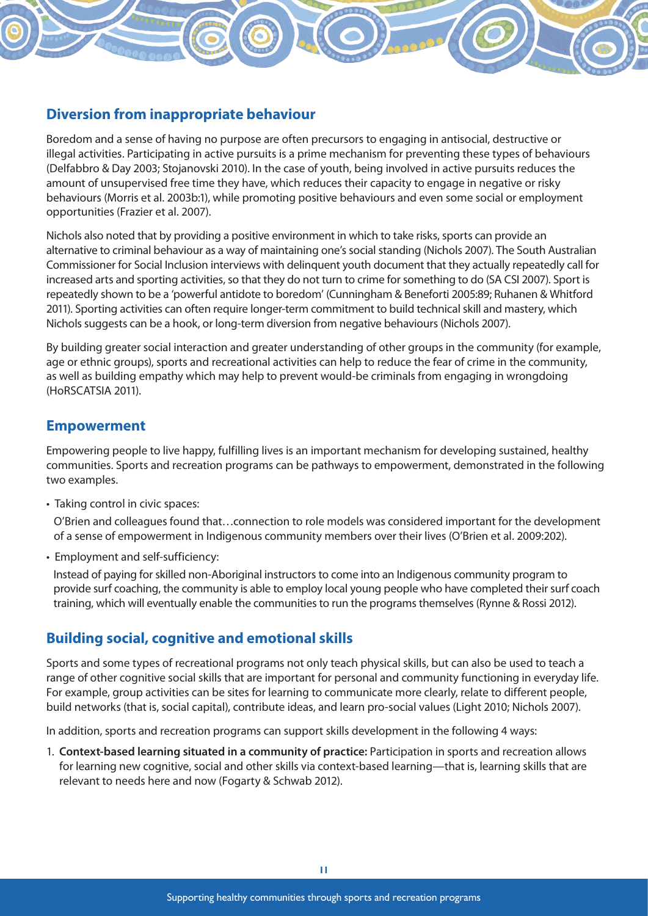## **Diversion from inappropriate behaviour**

Boredom and a sense of having no purpose are often precursors to engaging in antisocial, destructive or illegal activities. Participating in active pursuits is a prime mechanism for preventing these types of behaviours (Delfabbro & Day 2003; Stojanovski 2010). In the case of youth, being involved in active pursuits reduces the amount of unsupervised free time they have, which reduces their capacity to engage in negative or risky behaviours (Morris et al. 2003b:1), while promoting positive behaviours and even some social or employment opportunities (Frazier et al. 2007).

Nichols also noted that by providing a positive environment in which to take risks, sports can provide an alternative to criminal behaviour as a way of maintaining one's social standing (Nichols 2007). The South Australian Commissioner for Social Inclusion interviews with delinquent youth document that they actually repeatedly call for increased arts and sporting activities, so that they do not turn to crime for something to do (SA CSI 2007). Sport is repeatedly shown to be a 'powerful antidote to boredom' (Cunningham & Beneforti 2005:89; Ruhanen & Whitford 2011). Sporting activities can often require longer-term commitment to build technical skill and mastery, which Nichols suggests can be a hook, or long-term diversion from negative behaviours (Nichols 2007).

By building greater social interaction and greater understanding of other groups in the community (for example, age or ethnic groups), sports and recreational activities can help to reduce the fear of crime in the community, as well as building empathy which may help to prevent would-be criminals from engaging in wrongdoing (HoRSCATSIA 2011).

#### **Empowerment**

Empowering people to live happy, fulfilling lives is an important mechanism for developing sustained, healthy communities. Sports and recreation programs can be pathways to empowerment, demonstrated in the following two examples.

• Taking control in civic spaces:

 O'Brien and colleagues found that…connection to role models was considered important for the development of a sense of empowerment in Indigenous community members over their lives (O'Brien et al. 2009:202).

• Employment and self-sufficiency:

 Instead of paying for skilled non-Aboriginal instructors to come into an Indigenous community program to provide surf coaching, the community is able to employ local young people who have completed their surf coach training, which will eventually enable the communities to run the programs themselves (Rynne & Rossi 2012).

## **Building social, cognitive and emotional skills**

Sports and some types of recreational programs not only teach physical skills, but can also be used to teach a range of other cognitive social skills that are important for personal and community functioning in everyday life. For example, group activities can be sites for learning to communicate more clearly, relate to different people, build networks (that is, social capital), contribute ideas, and learn pro-social values (Light 2010; Nichols 2007).

In addition, sports and recreation programs can support skills development in the following 4 ways:

1. **Context-based learning situated in a community of practice:** Participation in sports and recreation allows for learning new cognitive, social and other skills via context-based learning—that is, learning skills that are relevant to needs here and now (Fogarty & Schwab 2012).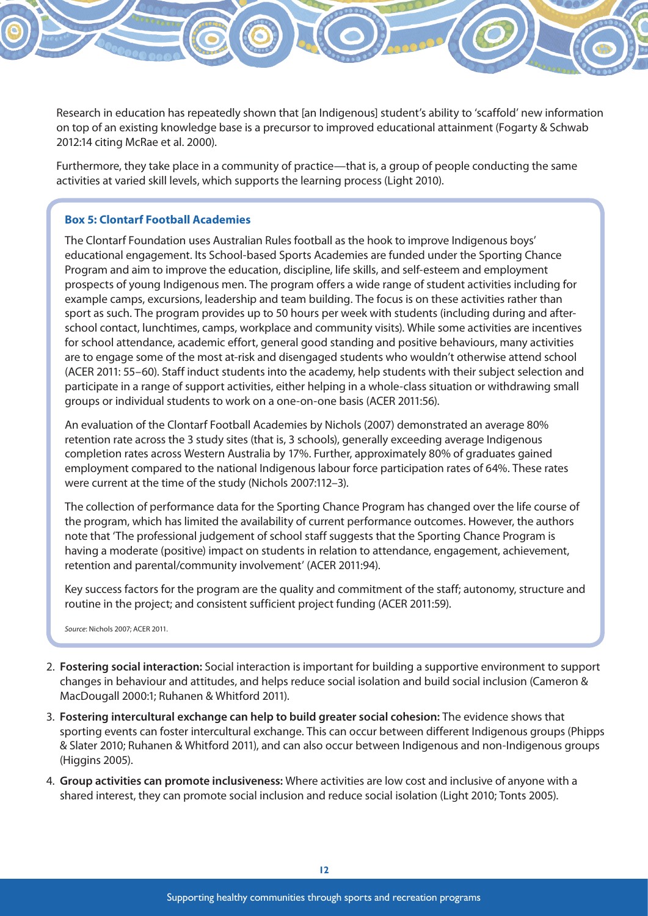Research in education has repeatedly shown that [an Indigenous] student's ability to 'scaffold' new information on top of an existing knowledge base is a precursor to improved educational attainment (Fogarty & Schwab 2012:14 citing McRae et al. 2000).

 Furthermore, they take place in a community of practice—that is, a group of people conducting the same activities at varied skill levels, which supports the learning process (Light 2010).

#### **Box 5: Clontarf Football Academies**

The Clontarf Foundation uses Australian Rules football as the hook to improve Indigenous boys' educational engagement. Its School-based Sports Academies are funded under the Sporting Chance Program and aim to improve the education, discipline, life skills, and self-esteem and employment prospects of young Indigenous men. The program offers a wide range of student activities including for example camps, excursions, leadership and team building. The focus is on these activities rather than sport as such. The program provides up to 50 hours per week with students (including during and afterschool contact, lunchtimes, camps, workplace and community visits). While some activities are incentives for school attendance, academic effort, general good standing and positive behaviours, many activities are to engage some of the most at-risk and disengaged students who wouldn't otherwise attend school (ACER 2011: 55–60). Staff induct students into the academy, help students with their subject selection and participate in a range of support activities, either helping in a whole-class situation or withdrawing small groups or individual students to work on a one-on-one basis (ACER 2011:56).

An evaluation of the Clontarf Football Academies by Nichols (2007) demonstrated an average 80% retention rate across the 3 study sites (that is, 3 schools), generally exceeding average Indigenous completion rates across Western Australia by 17%. Further, approximately 80% of graduates gained employment compared to the national Indigenous labour force participation rates of 64%. These rates were current at the time of the study (Nichols 2007:112–3).

The collection of performance data for the Sporting Chance Program has changed over the life course of the program, which has limited the availability of current performance outcomes. However, the authors note that 'The professional judgement of school staff suggests that the Sporting Chance Program is having a moderate (positive) impact on students in relation to attendance, engagement, achievement, retention and parental/community involvement' (ACER 2011:94).

Key success factors for the program are the quality and commitment of the staff; autonomy, structure and routine in the project; and consistent sufficient project funding (ACER 2011:59).

*Source*: Nichols 2007; ACER 2011.

- 2. **Fostering social interaction:** Social interaction is important for building a supportive environment to support changes in behaviour and attitudes, and helps reduce social isolation and build social inclusion (Cameron & MacDougall 2000:1; Ruhanen & Whitford 2011).
- 3. **Fostering intercultural exchange can help to build greater social cohesion:** The evidence shows that sporting events can foster intercultural exchange. This can occur between different Indigenous groups (Phipps & Slater 2010; Ruhanen & Whitford 2011), and can also occur between Indigenous and non-Indigenous groups (Higgins 2005).
- 4. **Group activities can promote inclusiveness:** Where activities are low cost and inclusive of anyone with a shared interest, they can promote social inclusion and reduce social isolation (Light 2010; Tonts 2005).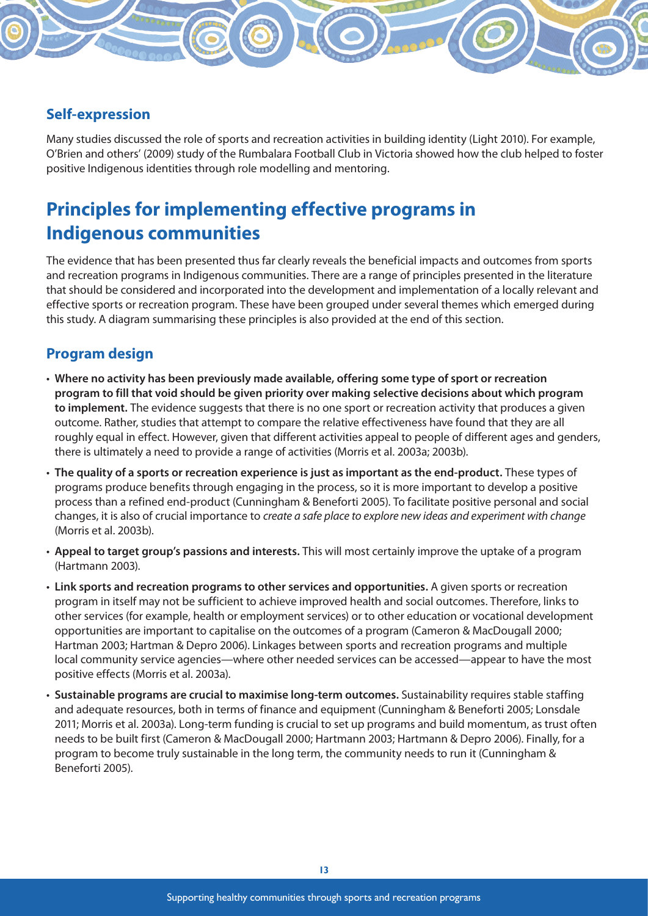## **Self-expression**

Many studies discussed the role of sports and recreation activities in building identity (Light 2010). For example, O'Brien and others' (2009) study of the Rumbalara Football Club in Victoria showed how the club helped to foster positive Indigenous identities through role modelling and mentoring.

## **Principles for implementing effective programs in Indigenous communities**

The evidence that has been presented thus far clearly reveals the beneficial impacts and outcomes from sports and recreation programs in Indigenous communities. There are a range of principles presented in the literature that should be considered and incorporated into the development and implementation of a locally relevant and effective sports or recreation program. These have been grouped under several themes which emerged during this study. A diagram summarising these principles is also provided at the end of this section.

### **Program design**

- **Where no activity has been previously made available, offering some type of sport or recreation program to fill that void should be given priority over making selective decisions about which program to implement.** The evidence suggests that there is no one sport or recreation activity that produces a given outcome. Rather, studies that attempt to compare the relative effectiveness have found that they are all roughly equal in effect. However, given that different activities appeal to people of different ages and genders, there is ultimately a need to provide a range of activities (Morris et al. 2003a; 2003b).
- **The quality of a sports or recreation experience is just as important as the end-product.** These types of programs produce benefits through engaging in the process, so it is more important to develop a positive process than a refined end-product (Cunningham & Beneforti 2005). To facilitate positive personal and social changes, it is also of crucial importance to *create a safe place to explore new ideas and experiment with change* (Morris et al. 2003b).
- **Appeal to target group's passions and interests.** This will most certainly improve the uptake of a program (Hartmann 2003).
- **Link sports and recreation programs to other services and opportunities.** A given sports or recreation program in itself may not be sufficient to achieve improved health and social outcomes. Therefore, links to other services (for example, health or employment services) or to other education or vocational development opportunities are important to capitalise on the outcomes of a program (Cameron & MacDougall 2000; Hartman 2003; Hartman & Depro 2006). Linkages between sports and recreation programs and multiple local community service agencies—where other needed services can be accessed—appear to have the most positive effects (Morris et al. 2003a).
- **Sustainable programs are crucial to maximise long-term outcomes.** Sustainability requires stable staffing and adequate resources, both in terms of finance and equipment (Cunningham & Beneforti 2005; Lonsdale 2011; Morris et al. 2003a). Long-term funding is crucial to set up programs and build momentum, as trust often needs to be built first (Cameron & MacDougall 2000; Hartmann 2003; Hartmann & Depro 2006). Finally, for a program to become truly sustainable in the long term, the community needs to run it (Cunningham & Beneforti 2005).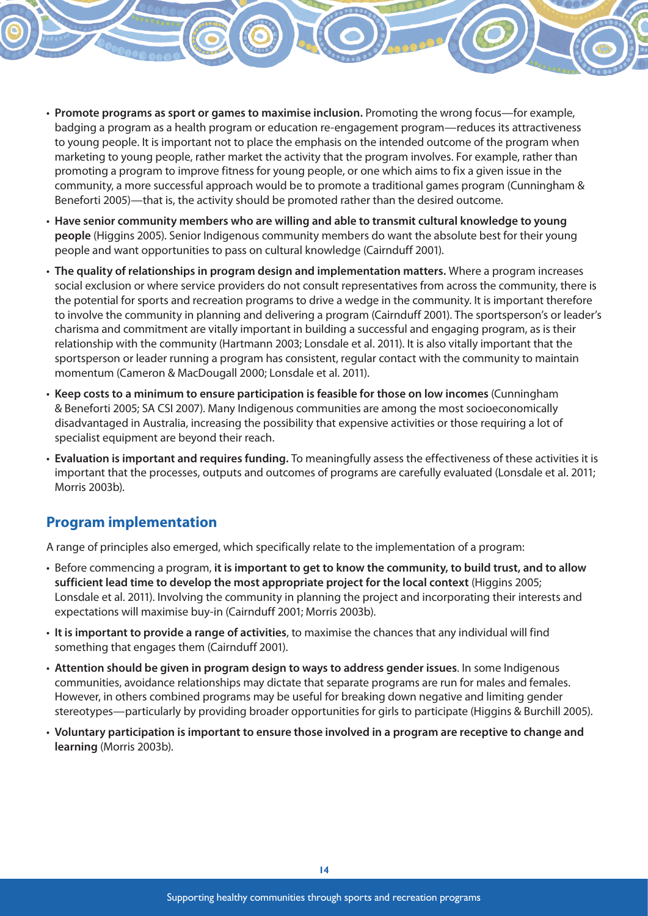- **Promote programs as sport or games to maximise inclusion.** Promoting the wrong focus—for example, badging a program as a health program or education re-engagement program—reduces its attractiveness to young people. It is important not to place the emphasis on the intended outcome of the program when marketing to young people, rather market the activity that the program involves. For example, rather than promoting a program to improve fitness for young people, or one which aims to fix a given issue in the community, a more successful approach would be to promote a traditional games program (Cunningham & Beneforti 2005)—that is, the activity should be promoted rather than the desired outcome.
- **Have senior community members who are willing and able to transmit cultural knowledge to young people** (Higgins 2005). Senior Indigenous community members do want the absolute best for their young people and want opportunities to pass on cultural knowledge (Cairnduff 2001).
- **The quality of relationships in program design and implementation matters.** Where a program increases social exclusion or where service providers do not consult representatives from across the community, there is the potential for sports and recreation programs to drive a wedge in the community. It is important therefore to involve the community in planning and delivering a program (Cairnduff 2001). The sportsperson's or leader's charisma and commitment are vitally important in building a successful and engaging program, as is their relationship with the community (Hartmann 2003; Lonsdale et al. 2011). It is also vitally important that the sportsperson or leader running a program has consistent, regular contact with the community to maintain momentum (Cameron & MacDougall 2000; Lonsdale et al. 2011).
- **Keep costs to a minimum to ensure participation is feasible for those on low incomes** (Cunningham & Beneforti 2005; SA CSI 2007). Many Indigenous communities are among the most socioeconomically disadvantaged in Australia, increasing the possibility that expensive activities or those requiring a lot of specialist equipment are beyond their reach.
- **Evaluation is important and requires funding.** To meaningfully assess the effectiveness of these activities it is important that the processes, outputs and outcomes of programs are carefully evaluated (Lonsdale et al. 2011; Morris 2003b).

#### **Program implementation**

A range of principles also emerged, which specifically relate to the implementation of a program:

- Before commencing a program, **it is important to get to know the community, to build trust, and to allow sufficient lead time to develop the most appropriate project for the local context** (Higgins 2005; Lonsdale et al. 2011). Involving the community in planning the project and incorporating their interests and expectations will maximise buy-in (Cairnduff 2001; Morris 2003b).
- **It is important to provide a range of activities**, to maximise the chances that any individual will find something that engages them (Cairnduff 2001).
- **Attention should be given in program design to ways to address gender issues**. In some Indigenous communities, avoidance relationships may dictate that separate programs are run for males and females. However, in others combined programs may be useful for breaking down negative and limiting gender stereotypes—particularly by providing broader opportunities for girls to participate (Higgins & Burchill 2005).
- **Voluntary participation is important to ensure those involved in a program are receptive to change and learning** (Morris 2003b).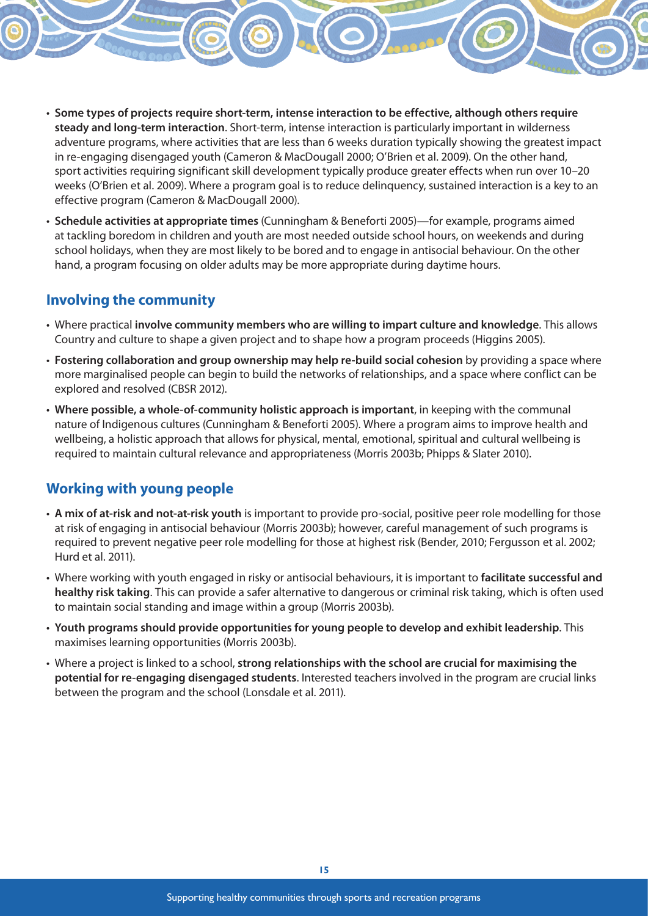- **Some types of projects require short-term, intense interaction to be effective, although others require steady and long-term interaction**. Short-term, intense interaction is particularly important in wilderness adventure programs, where activities that are less than 6 weeks duration typically showing the greatest impact in re-engaging disengaged youth (Cameron & MacDougall 2000; O'Brien et al. 2009). On the other hand, sport activities requiring significant skill development typically produce greater effects when run over 10–20 weeks (O'Brien et al. 2009). Where a program goal is to reduce delinquency, sustained interaction is a key to an effective program (Cameron & MacDougall 2000).
- **Schedule activities at appropriate times** (Cunningham & Beneforti 2005)—for example, programs aimed at tackling boredom in children and youth are most needed outside school hours, on weekends and during school holidays, when they are most likely to be bored and to engage in antisocial behaviour. On the other hand, a program focusing on older adults may be more appropriate during daytime hours.

### **Involving the community**

- Where practical **involve community members who are willing to impart culture and knowledge**. This allows Country and culture to shape a given project and to shape how a program proceeds (Higgins 2005).
- **Fostering collaboration and group ownership may help re-build social cohesion** by providing a space where more marginalised people can begin to build the networks of relationships, and a space where conflict can be explored and resolved (CBSR 2012).
- **Where possible, a whole-of-community holistic approach is important**, in keeping with the communal nature of Indigenous cultures (Cunningham & Beneforti 2005). Where a program aims to improve health and wellbeing, a holistic approach that allows for physical, mental, emotional, spiritual and cultural wellbeing is required to maintain cultural relevance and appropriateness (Morris 2003b; Phipps & Slater 2010).

### **Working with young people**

- **A mix of at-risk and not-at-risk youth** is important to provide pro-social, positive peer role modelling for those at risk of engaging in antisocial behaviour (Morris 2003b); however, careful management of such programs is required to prevent negative peer role modelling for those at highest risk (Bender, 2010; Fergusson et al. 2002; Hurd et al. 2011).
- Where working with youth engaged in risky or antisocial behaviours, it is important to **facilitate successful and healthy risk taking**. This can provide a safer alternative to dangerous or criminal risk taking, which is often used to maintain social standing and image within a group (Morris 2003b).
- **Youth programs should provide opportunities for young people to develop and exhibit leadership**. This maximises learning opportunities (Morris 2003b).
- Where a project is linked to a school, **strong relationships with the school are crucial for maximising the potential for re-engaging disengaged students**. Interested teachers involved in the program are crucial links between the program and the school (Lonsdale et al. 2011).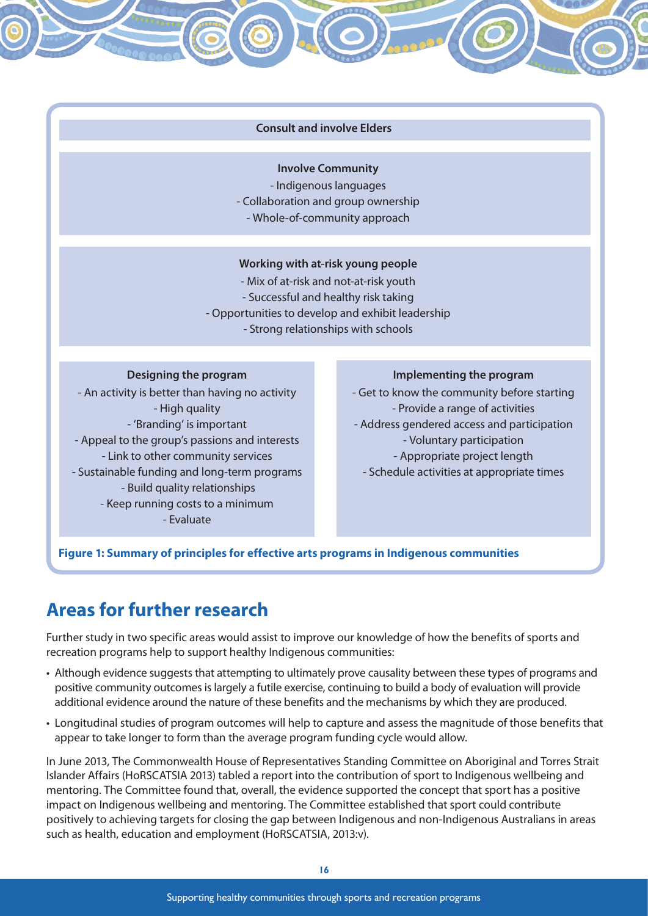#### **Consult and involve Elders**

#### **Involve Community**

- Indigenous languages

- Collaboration and group ownership
- Whole-of-community approach

#### **Working with at-risk young people**

- Mix of at-risk and not-at-risk youth
- Successful and healthy risk taking
- Opportunities to develop and exhibit leadership
	- Strong relationships with schools

#### **Designing the program**

- An activity is better than having no activity - High quality - 'Branding' is important - Appeal to the group's passions and interests - Link to other community services - Sustainable funding and long-term programs - Build quality relationships - Keep running costs to a minimum - Evaluate

#### **Implementing the program**

- Get to know the community before starting - Provide a range of activities - Address gendered access and participation - Voluntary participation - Appropriate project length - Schedule activities at appropriate times

#### **Figure 1: Summary of principles for effective arts programs in Indigenous communities**

## **Areas for further research**

Further study in two specific areas would assist to improve our knowledge of how the benefits of sports and recreation programs help to support healthy Indigenous communities:

- Although evidence suggests that attempting to ultimately prove causality between these types of programs and positive community outcomes is largely a futile exercise, continuing to build a body of evaluation will provide additional evidence around the nature of these benefits and the mechanisms by which they are produced.
- Longitudinal studies of program outcomes will help to capture and assess the magnitude of those benefits that appear to take longer to form than the average program funding cycle would allow.

In June 2013, The Commonwealth House of Representatives Standing Committee on Aboriginal and Torres Strait Islander Affairs (HoRSCATSIA 2013) tabled a report into the contribution of sport to Indigenous wellbeing and mentoring. The Committee found that, overall, the evidence supported the concept that sport has a positive impact on Indigenous wellbeing and mentoring. The Committee established that sport could contribute positively to achieving targets for closing the gap between Indigenous and non-Indigenous Australians in areas such as health, education and employment (HoRSCATSIA, 2013:v).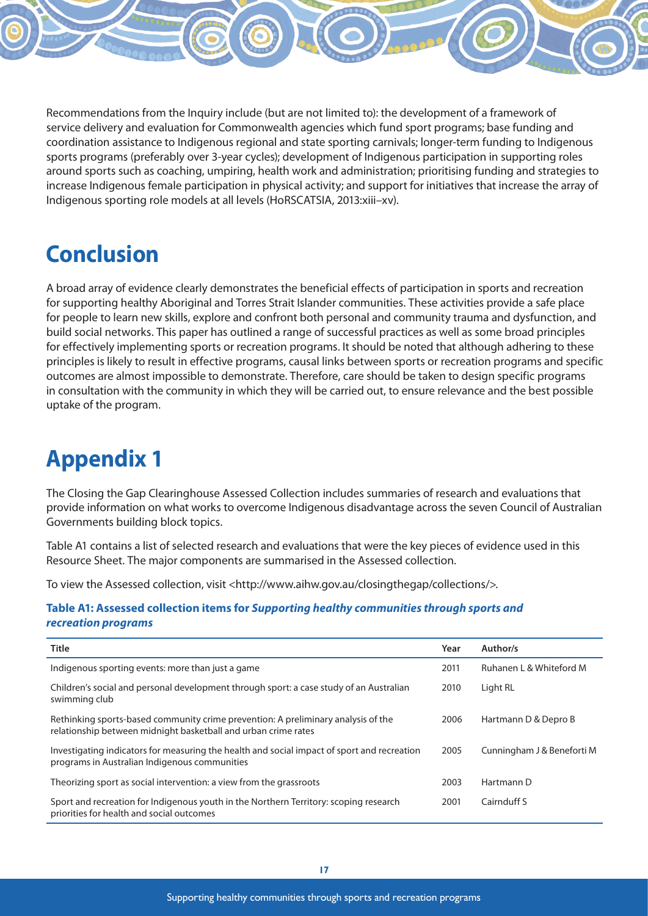Recommendations from the Inquiry include (but are not limited to): the development of a framework of service delivery and evaluation for Commonwealth agencies which fund sport programs; base funding and coordination assistance to Indigenous regional and state sporting carnivals; longer-term funding to Indigenous sports programs (preferably over 3-year cycles); development of Indigenous participation in supporting roles around sports such as coaching, umpiring, health work and administration; prioritising funding and strategies to increase Indigenous female participation in physical activity; and support for initiatives that increase the array of

Indigenous sporting role models at all levels (HoRSCATSIA, 2013:xiii–xv).

# **Conclusion**

A broad array of evidence clearly demonstrates the beneficial effects of participation in sports and recreation for supporting healthy Aboriginal and Torres Strait Islander communities. These activities provide a safe place for people to learn new skills, explore and confront both personal and community trauma and dysfunction, and build social networks. This paper has outlined a range of successful practices as well as some broad principles for effectively implementing sports or recreation programs. It should be noted that although adhering to these principles is likely to result in effective programs, causal links between sports or recreation programs and specific outcomes are almost impossible to demonstrate. Therefore, care should be taken to design specific programs in consultation with the community in which they will be carried out, to ensure relevance and the best possible uptake of the program.

# **Appendix 1**

The Closing the Gap Clearinghouse Assessed Collection includes summaries of research and evaluations that provide information on what works to overcome Indigenous disadvantage across the seven Council of Australian Governments building block topics.

Table A1 contains a list of selected research and evaluations that were the key pieces of evidence used in this Resource Sheet. The major components are summarised in the Assessed collection.

To view the Assessed collection, visit <http://www.aihw.gov.au/closingthegap/collections/>.

#### **Table A1: Assessed collection items for** *Supporting healthy communities through sports and recreation programs*

| Title                                                                                                                                               | Year | Author/s                   |
|-----------------------------------------------------------------------------------------------------------------------------------------------------|------|----------------------------|
| Indigenous sporting events: more than just a game                                                                                                   | 2011 | Ruhanen L & Whiteford M    |
| Children's social and personal development through sport: a case study of an Australian<br>swimming club                                            | 2010 | Light RL                   |
| Rethinking sports-based community crime prevention: A preliminary analysis of the<br>relationship between midnight basketball and urban crime rates | 2006 | Hartmann D & Depro B       |
| Investigating indicators for measuring the health and social impact of sport and recreation<br>programs in Australian Indigenous communities        | 2005 | Cunningham J & Beneforti M |
| Theorizing sport as social intervention: a view from the grassroots                                                                                 | 2003 | Hartmann D                 |
| Sport and recreation for Indigenous youth in the Northern Territory: scoping research<br>priorities for health and social outcomes                  | 2001 | Cairnduff S                |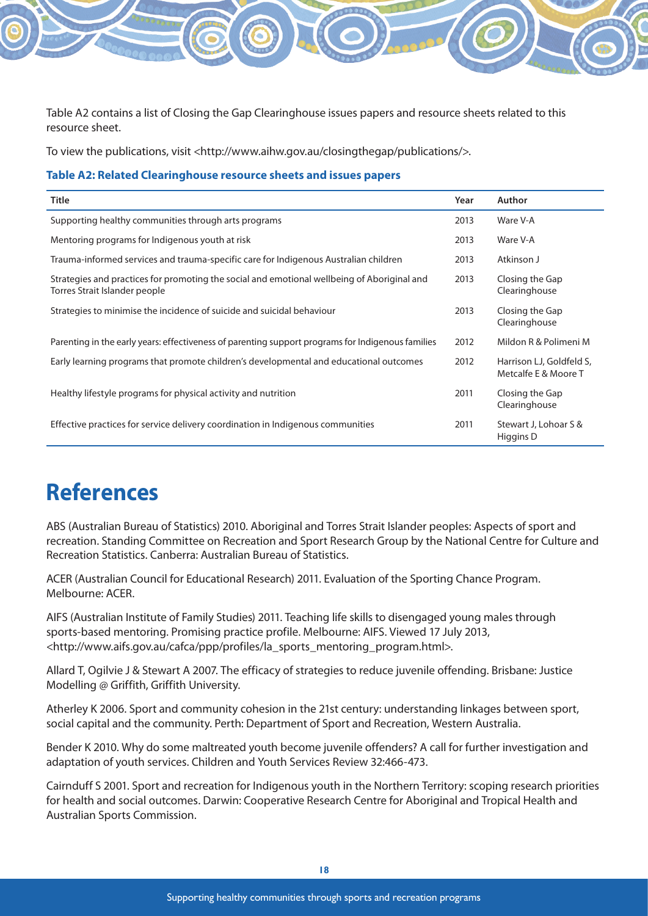Table A2 contains a list of Closing the Gap Clearinghouse issues papers and resource sheets related to this resource sheet.

To view the publications, visit <http://www.aihw.gov.au/closingthegap/publications/>.

#### **Table A2: Related Clearinghouse resource sheets and issues papers**

| <b>Title</b>                                                                                                                 | Year | Author                                           |
|------------------------------------------------------------------------------------------------------------------------------|------|--------------------------------------------------|
| Supporting healthy communities through arts programs                                                                         | 2013 | Ware V-A                                         |
| Mentoring programs for Indigenous youth at risk                                                                              | 2013 | Ware V-A                                         |
| Trauma-informed services and trauma-specific care for Indigenous Australian children                                         | 2013 | Atkinson J                                       |
| Strategies and practices for promoting the social and emotional wellbeing of Aboriginal and<br>Torres Strait Islander people | 2013 | Closing the Gap<br>Clearinghouse                 |
| Strategies to minimise the incidence of suicide and suicidal behaviour                                                       | 2013 | Closing the Gap<br>Clearinghouse                 |
| Parenting in the early years: effectiveness of parenting support programs for Indigenous families                            | 2012 | Mildon R & Polimeni M                            |
| Early learning programs that promote children's developmental and educational outcomes                                       | 2012 | Harrison LJ, Goldfeld S,<br>Metcalfe E & Moore T |
| Healthy lifestyle programs for physical activity and nutrition                                                               | 2011 | Closing the Gap<br>Clearinghouse                 |
| Effective practices for service delivery coordination in Indigenous communities                                              | 2011 | Stewart J, Lohoar S &<br>Higgins D               |

# **References**

ABS (Australian Bureau of Statistics) 2010. Aboriginal and Torres Strait Islander peoples: Aspects of sport and recreation. Standing Committee on Recreation and Sport Research Group by the National Centre for Culture and Recreation Statistics. Canberra: Australian Bureau of Statistics.

ACER (Australian Council for Educational Research) 2011. Evaluation of the Sporting Chance Program. Melbourne: ACER.

AIFS (Australian Institute of Family Studies) 2011. Teaching life skills to disengaged young males through sports-based mentoring. Promising practice profile. Melbourne: AIFS. Viewed 17 July 2013, <http://www.aifs.gov.au/cafca/ppp/profiles/la\_sports\_mentoring\_program.html>.

Allard T, Ogilvie J & Stewart A 2007. The efficacy of strategies to reduce juvenile offending. Brisbane: Justice Modelling @ Griffith, Griffith University.

Atherley K 2006. Sport and community cohesion in the 21st century: understanding linkages between sport, social capital and the community. Perth: Department of Sport and Recreation, Western Australia.

Bender K 2010. Why do some maltreated youth become juvenile offenders? A call for further investigation and adaptation of youth services. Children and Youth Services Review 32:466-473.

Cairnduff S 2001. Sport and recreation for Indigenous youth in the Northern Territory: scoping research priorities for health and social outcomes. Darwin: Cooperative Research Centre for Aboriginal and Tropical Health and Australian Sports Commission.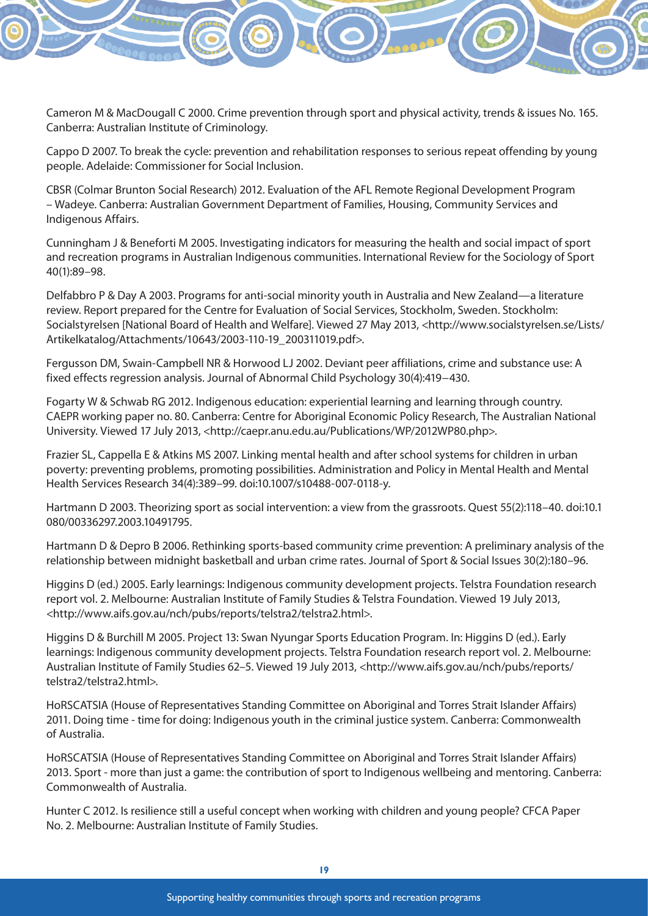

Cameron M & MacDougall C 2000. Crime prevention through sport and physical activity, trends & issues No. 165. Canberra: Australian Institute of Criminology.

Cappo D 2007. To break the cycle: prevention and rehabilitation responses to serious repeat offending by young people. Adelaide: Commissioner for Social Inclusion.

CBSR (Colmar Brunton Social Research) 2012. Evaluation of the AFL Remote Regional Development Program – Wadeye. Canberra: Australian Government Department of Families, Housing, Community Services and Indigenous Affairs.

Cunningham J & Beneforti M 2005. Investigating indicators for measuring the health and social impact of sport and recreation programs in Australian Indigenous communities. International Review for the Sociology of Sport 40(1):89–98.

Delfabbro P & Day A 2003. Programs for anti-social minority youth in Australia and New Zealand—a literature review. Report prepared for the Centre for Evaluation of Social Services, Stockholm, Sweden. Stockholm: Socialstyrelsen [National Board of Health and Welfare]. Viewed 27 May 2013, <http://www.socialstyrelsen.se/Lists/ Artikelkatalog/Attachments/10643/2003-110-19\_200311019.pdf>.

Fergusson DM, Swain-Campbell NR & Horwood LJ 2002. Deviant peer affiliations, crime and substance use: A fixed effects regression analysis. Journal of Abnormal Child Psychology 30(4):419−430.

Fogarty W & Schwab RG 2012. Indigenous education: experiential learning and learning through country. CAEPR working paper no. 80. Canberra: Centre for Aboriginal Economic Policy Research, The Australian National University. Viewed 17 July 2013, <http://caepr.anu.edu.au/Publications/WP/2012WP80.php>.

Frazier SL, Cappella E & Atkins MS 2007. Linking mental health and after school systems for children in urban poverty: preventing problems, promoting possibilities. Administration and Policy in Mental Health and Mental Health Services Research 34(4):389–99. doi:10.1007/s10488-007-0118-y.

Hartmann D 2003. Theorizing sport as social intervention: a view from the grassroots. Quest 55(2):118–40. doi:10.1 080/00336297.2003.10491795.

Hartmann D & Depro B 2006. Rethinking sports-based community crime prevention: A preliminary analysis of the relationship between midnight basketball and urban crime rates. Journal of Sport & Social Issues 30(2):180–96.

Higgins D (ed.) 2005. Early learnings: Indigenous community development projects. Telstra Foundation research report vol. 2. Melbourne: Australian Institute of Family Studies & Telstra Foundation. Viewed 19 July 2013, <http://www.aifs.gov.au/nch/pubs/reports/telstra2/telstra2.html>.

Higgins D & Burchill M 2005. Project 13: Swan Nyungar Sports Education Program. In: Higgins D (ed.). Early learnings: Indigenous community development projects. Telstra Foundation research report vol. 2. Melbourne: Australian Institute of Family Studies 62–5. Viewed 19 July 2013, <http://www.aifs.gov.au/nch/pubs/reports/ telstra2/telstra2.html>.

HoRSCATSIA (House of Representatives Standing Committee on Aboriginal and Torres Strait Islander Affairs) 2011. Doing time - time for doing: Indigenous youth in the criminal justice system. Canberra: Commonwealth of Australia.

HoRSCATSIA (House of Representatives Standing Committee on Aboriginal and Torres Strait Islander Affairs) 2013. Sport - more than just a game: the contribution of sport to Indigenous wellbeing and mentoring. Canberra: Commonwealth of Australia.

Hunter C 2012. Is resilience still a useful concept when working with children and young people? CFCA Paper No. 2. Melbourne: Australian Institute of Family Studies.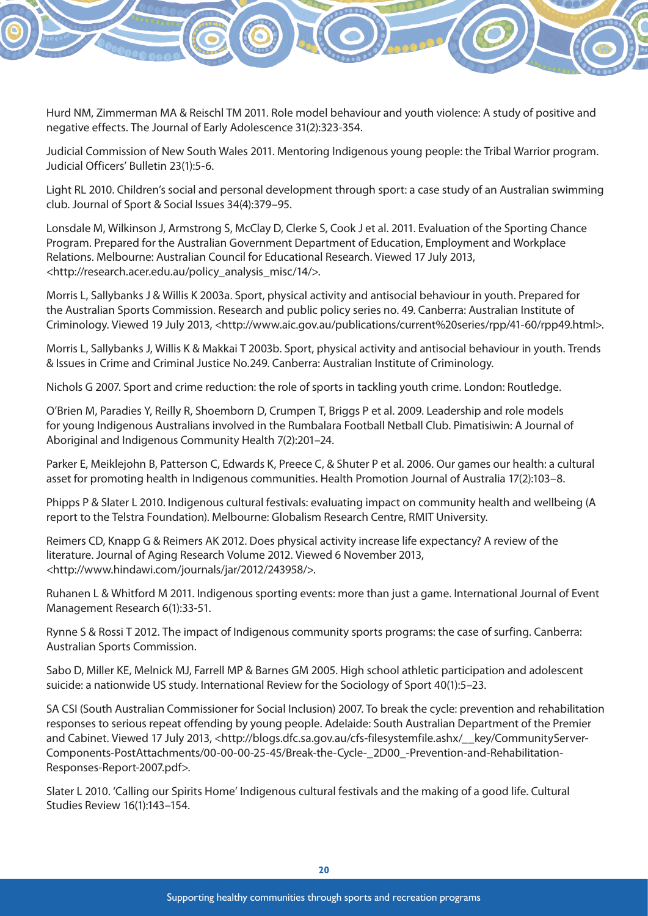

Hurd NM, Zimmerman MA & Reischl TM 2011. Role model behaviour and youth violence: A study of positive and negative effects. The Journal of Early Adolescence 31(2):323-354.

Judicial Commission of New South Wales 2011. Mentoring Indigenous young people: the Tribal Warrior program. Judicial Officers' Bulletin 23(1):5-6.

Light RL 2010. Children's social and personal development through sport: a case study of an Australian swimming club. Journal of Sport & Social Issues 34(4):379–95.

Lonsdale M, Wilkinson J, Armstrong S, McClay D, Clerke S, Cook J et al. 2011. Evaluation of the Sporting Chance Program. Prepared for the Australian Government Department of Education, Employment and Workplace Relations. Melbourne: Australian Council for Educational Research. Viewed 17 July 2013, <http://research.acer.edu.au/policy\_analysis\_misc/14/>.

Morris L, Sallybanks J & Willis K 2003a. Sport, physical activity and antisocial behaviour in youth. Prepared for the Australian Sports Commission. Research and public policy series no. 49. Canberra: Australian Institute of Criminology. Viewed 19 July 2013, <http://www.aic.gov.au/publications/current%20series/rpp/41-60/rpp49.html>.

Morris L, Sallybanks J, Willis K & Makkai T 2003b. Sport, physical activity and antisocial behaviour in youth. Trends & Issues in Crime and Criminal Justice No.249. Canberra: Australian Institute of Criminology.

Nichols G 2007. Sport and crime reduction: the role of sports in tackling youth crime. London: Routledge.

O'Brien M, Paradies Y, Reilly R, Shoemborn D, Crumpen T, Briggs P et al. 2009. Leadership and role models for young Indigenous Australians involved in the Rumbalara Football Netball Club. Pimatisiwin: A Journal of Aboriginal and Indigenous Community Health 7(2):201–24.

Parker E, Meiklejohn B, Patterson C, Edwards K, Preece C, & Shuter P et al. 2006. Our games our health: a cultural asset for promoting health in Indigenous communities. Health Promotion Journal of Australia 17(2):103–8.

Phipps P & Slater L 2010. Indigenous cultural festivals: evaluating impact on community health and wellbeing (A report to the Telstra Foundation). Melbourne: Globalism Research Centre, RMIT University.

Reimers CD, Knapp G & Reimers AK 2012. Does physical activity increase life expectancy? A review of the literature. Journal of Aging Research Volume 2012. Viewed 6 November 2013, <http://www.hindawi.com/journals/jar/2012/243958/>.

Ruhanen L & Whitford M 2011. Indigenous sporting events: more than just a game. International Journal of Event Management Research 6(1):33-51.

Rynne S & Rossi T 2012. The impact of Indigenous community sports programs: the case of surfing. Canberra: Australian Sports Commission.

Sabo D, Miller KE, Melnick MJ, Farrell MP & Barnes GM 2005. High school athletic participation and adolescent suicide: a nationwide US study. International Review for the Sociology of Sport 40(1):5–23.

SA CSI (South Australian Commissioner for Social Inclusion) 2007. To break the cycle: prevention and rehabilitation responses to serious repeat offending by young people. Adelaide: South Australian Department of the Premier and Cabinet. Viewed 17 July 2013, <http://blogs.dfc.sa.gov.au/cfs-filesystemfile.ashx/ key/CommunityServer-Components-PostAttachments/00-00-00-25-45/Break-the-Cycle-\_2D00\_-Prevention-and-Rehabilitation-Responses-Report-2007.pdf>.

Slater L 2010. 'Calling our Spirits Home' Indigenous cultural festivals and the making of a good life. Cultural Studies Review 16(1):143–154.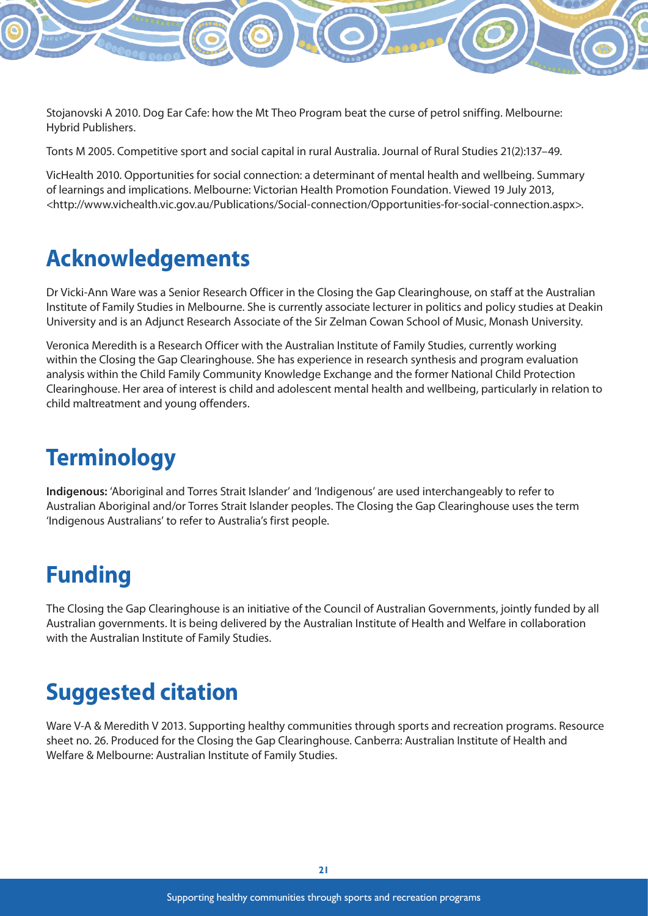Stojanovski A 2010. Dog Ear Cafe: how the Mt Theo Program beat the curse of petrol sniffing. Melbourne: Hybrid Publishers.

Tonts M 2005. Competitive sport and social capital in rural Australia. Journal of Rural Studies 21(2):137–49.

VicHealth 2010. Opportunities for social connection: a determinant of mental health and wellbeing. Summary of learnings and implications. Melbourne: Victorian Health Promotion Foundation. Viewed 19 July 2013, <http://www.vichealth.vic.gov.au/Publications/Social-connection/Opportunities-for-social-connection.aspx>.

## **Acknowledgements**

Dr Vicki-Ann Ware was a Senior Research Officer in the Closing the Gap Clearinghouse, on staff at the Australian Institute of Family Studies in Melbourne. She is currently associate lecturer in politics and policy studies at Deakin University and is an Adjunct Research Associate of the Sir Zelman Cowan School of Music, Monash University.

Veronica Meredith is a Research Officer with the Australian Institute of Family Studies, currently working within the Closing the Gap Clearinghouse. She has experience in research synthesis and program evaluation analysis within the Child Family Community Knowledge Exchange and the former National Child Protection Clearinghouse. Her area of interest is child and adolescent mental health and wellbeing, particularly in relation to child maltreatment and young offenders.

# **Terminology**

**Indigenous:** 'Aboriginal and Torres Strait Islander' and 'Indigenous' are used interchangeably to refer to Australian Aboriginal and/or Torres Strait Islander peoples. The Closing the Gap Clearinghouse uses the term 'Indigenous Australians' to refer to Australia's first people.

# **Funding**

The Closing the Gap Clearinghouse is an initiative of the Council of Australian Governments, jointly funded by all Australian governments. It is being delivered by the Australian Institute of Health and Welfare in collaboration with the Australian Institute of Family Studies.

# **Suggested citation**

Ware V-A & Meredith V 2013. Supporting healthy communities through sports and recreation programs. Resource sheet no. 26. Produced for the Closing the Gap Clearinghouse. Canberra: Australian Institute of Health and Welfare & Melbourne: Australian Institute of Family Studies.